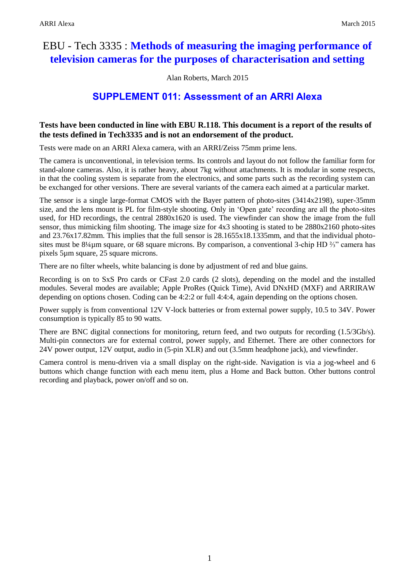# EBU - Tech 3335 : **Methods of measuring the imaging performance of television cameras for the purposes of characterisation and setting**

Alan Roberts, March 2015

# **SUPPLEMENT 011: Assessment of an ARRI Alexa**

## **Tests have been conducted in line with EBU R.118. This document is a report of the results of the tests defined in Tech3335 and is not an endorsement of the product.**

Tests were made on an ARRI Alexa camera, with an ARRI/Zeiss 75mm prime lens.

The camera is unconventional, in television terms. Its controls and layout do not follow the familiar form for stand-alone cameras. Also, it is rather heavy, about 7kg without attachments. It is modular in some respects, in that the cooling system is separate from the electronics, and some parts such as the recording system can be exchanged for other versions. There are several variants of the camera each aimed at a particular market.

The sensor is a single large-format CMOS with the Bayer pattern of photo-sites (3414x2198), super-35mm size, and the lens mount is PL for film-style shooting. Only in 'Open gate' recording are all the photo-sites used, for HD recordings, the central 2880x1620 is used. The viewfinder can show the image from the full sensor, thus mimicking film shooting. The image size for 4x3 shooting is stated to be 2880x2160 photo-sites and 23.76x17.82mm. This implies that the full sensor is 28.1655x18.1335mm, and that the individual photosites must be 8¼µm square, or 68 square microns. By comparison, a conventional 3-chip HD ⅔" camera has pixels 5µm square, 25 square microns.

There are no filter wheels, white balancing is done by adjustment of red and blue gains.

Recording is on to SxS Pro cards or CFast 2.0 cards (2 slots), depending on the model and the installed modules. Several modes are available; Apple ProRes (Quick Time), Avid DNxHD (MXF) and ARRIRAW depending on options chosen. Coding can be 4:2:2 or full 4:4:4, again depending on the options chosen.

Power supply is from conventional 12V V-lock batteries or from external power supply, 10.5 to 34V. Power consumption is typically 85 to 90 watts.

There are BNC digital connections for monitoring, return feed, and two outputs for recording (1.5/3Gb/s). Multi-pin connectors are for external control, power supply, and Ethernet. There are other connectors for 24V power output, 12V output, audio in (5-pin XLR) and out (3.5mm headphone jack), and viewfinder.

Camera control is menu-driven via a small display on the right-side. Navigation is via a jog-wheel and 6 buttons which change function with each menu item, plus a Home and Back button. Other buttons control recording and playback, power on/off and so on.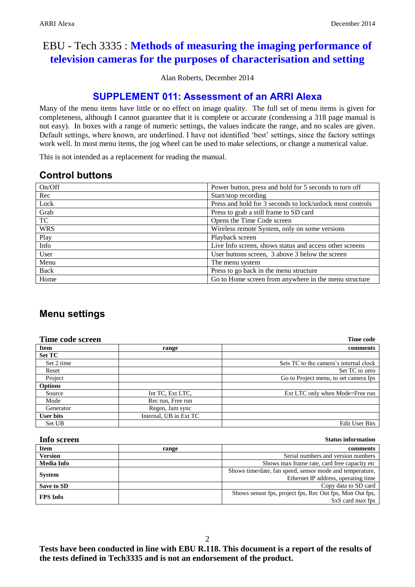# EBU - Tech 3335 : **Methods of measuring the imaging performance of television cameras for the purposes of characterisation and setting**

Alan Roberts, December 2014

# **SUPPLEMENT 011: Assessment of an ARRI Alexa**

Many of the menu items have little or no effect on image quality. The full set of menu items is given for completeness, although I cannot guarantee that it is complete or accurate (condensing a 318 page manual is not easy). In boxes with a range of numeric settings, the values indicate the range, and no scales are given. Default settings, where known, are underlined. I have not identified 'best' settings, since the factory settings work well. In most menu items, the jog wheel can be used to make selections, or change a numerical value.

This is not intended as a replacement for reading the manual.

## **Control buttons**

| On/Off     | Power button, press and hold for 5 seconds to turn off    |
|------------|-----------------------------------------------------------|
| Rec        | Start/stop recording                                      |
| Lock       | Press and hold for 3 seconds to lock/unlock most controls |
| Grab       | Press to grab a still frame to SD card                    |
| TC         | Opens the Time Code screen                                |
| <b>WRS</b> | Wireless remote System, only on some versions             |
| Play       | Playback screen                                           |
| Info       | Live Info screen, shows status and access other screens   |
| User       | User buttons screen, 3 above 3 below the screen           |
| Menu       | The menu system                                           |
| Back       | Press to go back in the menu structure                    |
| Home       | Go to Home screen from anywhere in the menu structure     |

# **Menu settings**

| Time code screen |                        | Time code                              |
|------------------|------------------------|----------------------------------------|
| <b>Item</b>      | range                  | comments                               |
| <b>Set TC</b>    |                        |                                        |
| Set 2 time       |                        | Sets TC to the camera's internal clock |
| Reset            |                        | Set TC to zero                         |
| Project          |                        | Go to Project menu, to set camera fps  |
| <b>Options</b>   |                        |                                        |
| Source           | Int TC, Ext LTC,       | Ext LTC only when Mode=Free run        |
| Mode             | Rec run, Free run      |                                        |
| Generator        | Regen, Jam sync        |                                        |
| User bits        | Internal. UB in Ext TC |                                        |
| Set UB           |                        | Edit User Bits                         |

| Info screen       |       | <b>Status information</b>                                |
|-------------------|-------|----------------------------------------------------------|
| <b>Item</b>       | range | comments                                                 |
| <b>Version</b>    |       | Serial numbers and version numbers                       |
| <b>Media Info</b> |       | Shows max frame rate, card free capacity etc.            |
|                   |       | Shows time/date, fan speed, sensor mode and temperature, |
| <b>System</b>     |       | Ethernet IP address, operating time                      |
| Save to SD        |       | Copy data to SD card                                     |
| <b>FPS</b> Info   |       | Shows sensor fps, project fps, Rec Out fps, Mon Out fps, |
|                   |       | SxS card max fps                                         |

 $\mathcal{L}$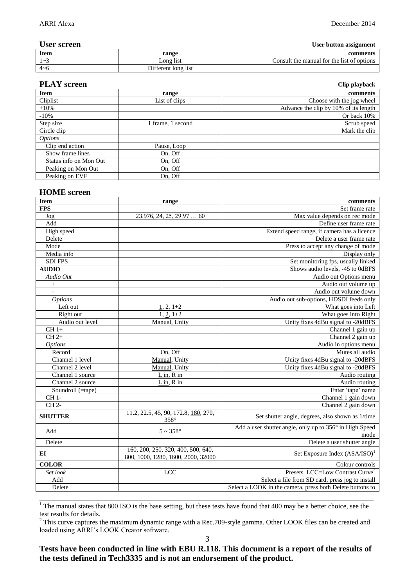### **User screen User button assignment**

| - - - - - - - - - - - |                     | $\overline{\phantom{a}}$                       |
|-----------------------|---------------------|------------------------------------------------|
| <b>Item</b>           | range               | comments                                       |
| $\sim$                | Long list           | .`onsult<br>the manual for the list of options |
| $4\nu$ f              | Different long list |                                                |

| <b>PLAY</b> screen     |                   | Clip playback                         |
|------------------------|-------------------|---------------------------------------|
| <b>Item</b>            | range             | comments                              |
| Cliplist               | List of clips     | Choose with the jog wheel             |
| $+10%$                 |                   | Advance the clip by 10% of its length |
| $-10%$                 |                   | Or back 10%                           |
| Step size              | 1 frame, 1 second | Scrub speed                           |
| Circle clip            |                   | Mark the clip                         |
| <i>Options</i>         |                   |                                       |
| Clip end action        | Pause, Loop       |                                       |
| Show frame lines       | On, Off           |                                       |
| Status info on Mon Out | On, Off           |                                       |
| Peaking on Mon Out     | On, Off           |                                       |
| Peaking on EVF         | On. Off           |                                       |

### **HOME screen**

| <b>Item</b>                   | range                                                                    | comments                                                        |
|-------------------------------|--------------------------------------------------------------------------|-----------------------------------------------------------------|
| <b>FPS</b>                    |                                                                          | Set frame rate                                                  |
| Jog                           | $23.976, \underline{24}$ , 25, 29.97  60                                 | Max value depends on rec mode                                   |
| $\operatorname{\mathsf{Add}}$ |                                                                          | Define user frame rate                                          |
| High speed                    |                                                                          | Extend speed range, if camera has a licence                     |
| Delete                        |                                                                          | Delete a user frame rate                                        |
| Mode                          |                                                                          | Press to accept any change of mode                              |
| Media info                    |                                                                          | Display only                                                    |
| <b>SDIFPS</b>                 |                                                                          | Set monitoring fps, usually linked                              |
| AUDIO                         |                                                                          | Shows audio levels, -45 to 0dBFS                                |
| Audio Out                     |                                                                          | Audio out Options menu                                          |
| $\! + \!$                     |                                                                          | Audio out volume up                                             |
| $\overline{a}$                |                                                                          | Audio out volume down                                           |
| <b>Options</b>                |                                                                          | Audio out sub-options, HDSDI feeds only                         |
| Left out                      | $1, 2, 1+2$                                                              | What goes into Left                                             |
| Right out                     | $1, 2, 1+2$                                                              | What goes into Right                                            |
| Audio out level               | Manual, Unity                                                            | Unity fixes 4dBu signal to -20dBFS                              |
| $CH 1+$                       |                                                                          | Channel 1 gain up                                               |
| $CH2+$                        |                                                                          | Channel 2 gain up                                               |
| <i>Options</i>                |                                                                          | Audio in options menu                                           |
| Record                        | On, Off                                                                  | Mutes all audio                                                 |
| Channel 1 level               | Manual, Unity                                                            | Unity fixes 4dBu signal to -20dBFS                              |
| Channel 2 level               | Manual, Unity                                                            | Unity fixes 4dBu signal to -20dBFS                              |
| Channel 1 source              | $L$ in, $R$ in                                                           | Audio routing                                                   |
| Channel 2 source              | $L$ in, R in                                                             | Audio routing                                                   |
| Soundroll (=tape)             |                                                                          | Enter 'tape' name                                               |
| CH 1-                         |                                                                          | Channel 1 gain down                                             |
| CH <sub>2</sub>               |                                                                          | Channel 2 gain down                                             |
| <b>SHUTTER</b>                | 11.2, 22.5, 45, 90, 172.8, 180, 270,<br>$358^\circ$                      | Set shutter angle, degrees, also shown as 1/time                |
| Add                           | $5 \sim 358^\circ$                                                       | Add a user shutter angle, only up to 356° in High Speed<br>mode |
| Delete                        |                                                                          | Delete a user shutter angle                                     |
| EI                            | 160, 200, 250, 320, 400, 500, 640,<br>800, 1000, 1280, 1600, 2000, 32000 | Set Exposure Index $(ASA/ISO)^1$                                |
| <b>COLOR</b>                  |                                                                          | Colour controls                                                 |
| Set look                      | <b>LCC</b>                                                               | Presets. LCC=Low Contrast Curve <sup>2</sup>                    |
| Add                           |                                                                          | Select a file from SD card, press jog to install                |
| Delete                        |                                                                          | Select a LOOK in the camera, press both Delete buttons to       |

\_\_\_\_\_\_\_\_\_\_\_\_\_\_\_\_\_\_\_\_\_\_\_\_\_\_\_\_\_\_\_\_\_\_\_\_\_\_\_\_\_\_\_\_\_\_\_\_\_\_\_\_\_\_\_\_\_\_\_\_\_\_\_\_\_\_\_\_\_\_\_\_\_\_\_\_\_\_\_\_\_\_\_\_\_\_\_\_\_\_\_\_\_\_\_\_  $1$  The manual states that 800 ISO is the base setting, but these tests have found that 400 may be a better choice, see the test results for details.

 $2$  This curve captures the maximum dynamic range with a Rec.709-style gamma. Other LOOK files can be created and loaded using ARRI's LOOK Creator software.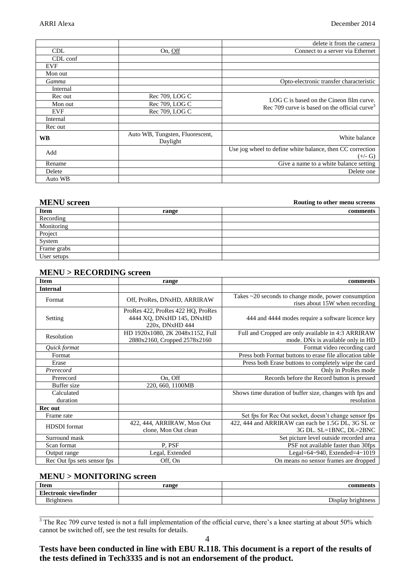|            |                                             | delete it from the camera                                 |
|------------|---------------------------------------------|-----------------------------------------------------------|
| <b>CDL</b> | On, Off                                     | Connect to a server via Ethernet                          |
| CDL conf   |                                             |                                                           |
| <b>EVF</b> |                                             |                                                           |
| Mon out    |                                             |                                                           |
| Gamma      |                                             | Opto-electronic transfer characteristic                   |
| Internal   |                                             |                                                           |
| Rec out    | Rec 709, LOG C                              | LOG C is based on the Cineon film curve.                  |
| Mon out    | Rec 709, LOG C                              | Rec 709 curve is based on the official curve <sup>3</sup> |
| <b>EVF</b> | Rec 709, LOG C                              |                                                           |
| Internal   |                                             |                                                           |
| Rec out    |                                             |                                                           |
| <b>WB</b>  | Auto WB, Tungsten, Fluorescent,<br>Daylight | White balance                                             |
| Add        |                                             | Use jog wheel to define white balance, then CC correction |
|            |                                             | $(+/- G)$                                                 |
| Rename     |                                             | Give a name to a white balance setting                    |
| Delete     |                                             | Delete one                                                |
| Auto WB    |                                             |                                                           |

### **MENU screen Routing to other menu screens**

| <b>Item</b> | range | comments |
|-------------|-------|----------|
| Recording   |       |          |
| Monitoring  |       |          |
| Project     |       |          |
| System      |       |          |
| Frame grabs |       |          |
| User setups |       |          |

### **MENU > RECORDING screen**

| <b>Item</b>                 | range                                                                             | comments                                                                                            |
|-----------------------------|-----------------------------------------------------------------------------------|-----------------------------------------------------------------------------------------------------|
| <b>Internal</b>             |                                                                                   |                                                                                                     |
| Format                      | Off, ProRes, DNxHD, ARRIRAW                                                       | Takes $\sim$ 20 seconds to change mode, power consumption<br>rises about 15W when recording         |
| Setting                     | ProRes 422, ProRes 422 HQ, ProRes<br>4444 XO, DNxHD 145, DNxHD<br>220x, DNxHD 444 | 444 and 4444 modes require a software licence key                                                   |
| Resolution                  | HD 1920x1080, 2K 2048x1152, Full<br>2880x2160, Cropped 2578x2160                  | Full and Cropped are only available in 4:3 ARRIRAW<br>mode. DN <sub>x</sub> is available only in HD |
| Quick format                |                                                                                   | Format video recording card                                                                         |
| Format                      |                                                                                   | Press both Format buttons to erase file allocation table                                            |
| Erase                       |                                                                                   | Press both Erase buttons to completely wipe the card                                                |
| Prerecord                   |                                                                                   | Only in ProRes mode                                                                                 |
| Prerecord                   | On, Off                                                                           | Records before the Record button is pressed                                                         |
| Buffer size                 | 220, 660, 1100MB                                                                  |                                                                                                     |
| Calculated<br>duration      |                                                                                   | Shows time duration of buffer size, changes with fps and<br>resolution                              |
| <b>Recout</b>               |                                                                                   |                                                                                                     |
| Frame rate                  |                                                                                   | Set fps for Rec Out socket, doesn't change sensor fps                                               |
| <b>HDSDI</b> format         | 422, 444, ARRIRAW, Mon Out<br>clone, Mon Out clean                                | 422, 444 and ARRIRAW can each be 1.5G DL, 3G SL or<br>3G DL. SL=1BNC, DL=2BNC                       |
| Surround mask               |                                                                                   | Set picture level outside recorded area                                                             |
| Scan format                 | P. PSF                                                                            | PSF not available faster than 30fps                                                                 |
| Output range                | Legal, Extended                                                                   | Legal=64~940, Extended=4~1019                                                                       |
| Rec Out fps sets sensor fps | Off, On                                                                           | On means no sensor frames are dropped                                                               |

### **MENU > MONITORING screen**

| <b>Item</b>           | range | CO <sub>1</sub>                                                                                                                                                                                                                                       |
|-----------------------|-------|-------------------------------------------------------------------------------------------------------------------------------------------------------------------------------------------------------------------------------------------------------|
| Electronic viewfinder |       |                                                                                                                                                                                                                                                       |
| $\sim$<br>$m$ htnoso  |       | larely bright<br><b>Contract Contract Contract Contract Contract Contract Contract Contract Contract Contract Contract Contract Contract Contract Contract Contract Contract Contract Contract Contract Contract Contract Contract Contract Contr</b> |
|                       |       |                                                                                                                                                                                                                                                       |

\_\_\_\_\_\_\_\_\_\_\_\_\_\_\_\_\_\_\_\_\_\_\_\_\_\_\_\_\_\_\_\_\_\_\_\_\_\_\_\_\_\_\_\_\_\_\_\_\_\_\_\_\_\_\_\_\_\_\_\_\_\_\_\_\_\_\_\_\_\_\_\_\_\_\_\_\_\_\_\_\_\_\_\_\_\_\_\_\_\_\_\_\_\_\_\_  $3$  The Rec 709 curve tested is not a full implementation of the official curve, there's a knee starting at about 50% which cannot be switched off, see the test results for details.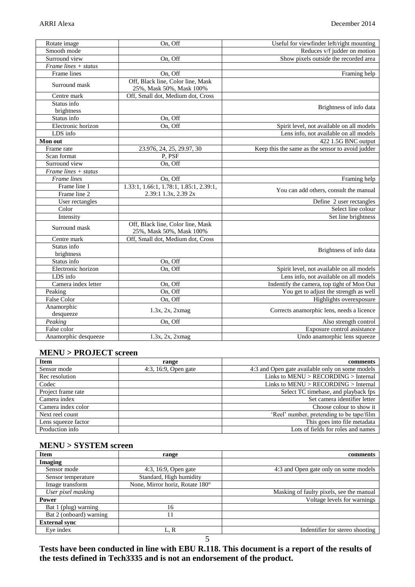| Rotate image                      | On, Off                                 | Useful for viewfinder left/right mounting        |
|-----------------------------------|-----------------------------------------|--------------------------------------------------|
| Smooth mode                       |                                         | Reduces v/f judder on motion                     |
| Surround view                     | On, Off                                 | Show pixels outside the recorded area            |
| $\overline{Frame}$ lines + status |                                         |                                                  |
| Frame lines                       | On, Off                                 | Framing help                                     |
| Surround mask                     | Off, Black line, Color line, Mask       |                                                  |
|                                   | 25%, Mask 50%, Mask 100%                |                                                  |
| Centre mark                       | Off, Small dot, Medium dot, Cross       |                                                  |
| Status info                       |                                         | Brightness of info data                          |
| brightness                        |                                         |                                                  |
| Status info                       | On, Off                                 |                                                  |
| Electronic horizon                | On, Off                                 | Spirit level, not available on all models        |
| LDS info                          |                                         | Lens info, not available on all models           |
| Mon out                           |                                         | 422 1.5G BNC output                              |
| Frame rate                        | 23.976, 24, 25, 29.97, 30               | Keep this the same as the sensor to avoid judder |
| Scan format                       | P, PSF                                  |                                                  |
| Surround view                     | On, Off                                 |                                                  |
| Frame lines + status              |                                         |                                                  |
| Frame lines                       | On, Off                                 | Framing help                                     |
| Frame line 1                      | 1.33:1, 1.66:1, 1.78:1, 1.85:1, 2.39:1, |                                                  |
| Frame line 2                      | 2.39:1 1.3x, 2.39 2x                    | You can add others, consult the manual           |
| User rectangles                   |                                         | Define 2 user rectangles                         |
| Color                             |                                         | Select line colour                               |
| Intensity                         |                                         | Set line brightness                              |
| Surround mask                     | Off, Black line, Color line, Mask       |                                                  |
|                                   | 25%, Mask 50%, Mask 100%                |                                                  |
| Centre mark                       | Off, Small dot, Medium dot, Cross       |                                                  |
| Status info                       |                                         |                                                  |
| brightness                        |                                         | Brightness of info data                          |
| Status info                       | On, Off                                 |                                                  |
| Electronic horizon                | On, Off                                 | Spirit level, not available on all models        |
| LDS info                          |                                         | Lens info, not available on all models           |
| Camera index letter               | On, Off                                 | Indentify the camera, top tight of Mon Out       |
| Peaking                           | On, Off                                 | You get to adjust the strength as well           |
| <b>False Color</b>                | On. Off                                 | Highlights overexposure                          |
| Anamorphic                        |                                         | Corrects anamorphic lens, needs a licence        |
| desqueeze                         | 1.3x, 2x, 2xmag                         |                                                  |
| Peaking                           | On, Off                                 | Also strength control                            |
| False color                       |                                         | Exposure control assistance                      |
| Anamorphic desqueeze              | 1.3x, 2x, 2xmag                         | Undo anamorphic lens squeeze                     |

### **MENU > PROJECT screen**

| <b>Item</b>         | range                | comments                                        |
|---------------------|----------------------|-------------------------------------------------|
| Sensor mode         | 4:3, 16:9, Open gate | 4:3 and Open gate available only on some models |
| Rec resolution      |                      | Links to MENU > RECORDING > Internal            |
| Codec               |                      | Links to $MENU > RECORDING > Internal$          |
| Project frame rate  |                      | Select TC timebase, and playback fps.           |
| Camera index        |                      | Set camera identifier letter                    |
| Camera index color  |                      | Choose colour to show it.                       |
| Next reel count     |                      | 'Reel' number, pretending to be tape/film       |
| Lens squeeze factor |                      | This goes into file metadata                    |
| Production info     |                      | Lots of fields for roles and names              |

### **MENU > SYSTEM screen**

| <b>Item</b>             | range                           | comments                                 |
|-------------------------|---------------------------------|------------------------------------------|
| <b>Imaging</b>          |                                 |                                          |
| Sensor mode             | 4:3, 16:9, Open gate            | 4:3 and Open gate only on some models    |
| Sensor temperature      | Standard, High humidity         |                                          |
| Image transform         | None, Mirror horiz, Rotate 180° |                                          |
| User pixel masking      |                                 | Masking of faulty pixels, see the manual |
| Power                   |                                 | Voltage levels for warnings              |
| Bat 1 (plug) warning    | 16                              |                                          |
| Bat 2 (onboard) warning |                                 |                                          |
| <b>External sync</b>    |                                 |                                          |
| Eye index               | L, R                            | Indentifier for stereo shooting          |

5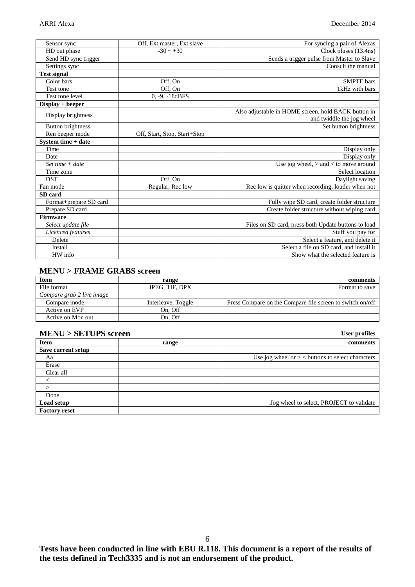| Sensor sync              | Off, Ext master, Ext slave   | For syncing a pair of Alexas                        |  |
|--------------------------|------------------------------|-----------------------------------------------------|--|
| HD out phase             | $-30 \sim +30$               | Clock pluses (13.4ns)                               |  |
| Send HD sync trigger     |                              | Sends a trigger pulse from Master to Slave          |  |
| Settings sync            |                              | Consult the manual                                  |  |
| <b>Test signal</b>       |                              |                                                     |  |
| Color bars               | Off, On                      | <b>SMPTE</b> bars                                   |  |
| Test tone                | Off, On                      | 1kHz with bars                                      |  |
| Test tone level          | $0, -9, -18dBFS$             |                                                     |  |
| Display + beeper         |                              |                                                     |  |
| Display brightness       |                              | Also adjustable in HOME screen, hold BACK button in |  |
|                          |                              | and twiddle the jog wheel                           |  |
| <b>Button brightness</b> |                              | Set button brightness                               |  |
| Ren beeper mode          | Off, Start, Stop, Start+Stop |                                                     |  |
| System time + date       |                              |                                                     |  |
| Time                     |                              | Display only                                        |  |
| Date                     |                              | Display only                                        |  |
| Set time $+$ date        |                              | Use jog wheel, $>$ and $<$ to move around           |  |
| Time zone                |                              | Select location                                     |  |
| <b>DST</b>               | Off, On                      | Daylight saving                                     |  |
| Fan mode                 | Regular, Rec low             | Rec low is quitter when recording, louder when not  |  |
| SD card                  |                              |                                                     |  |
| Format+prepare SD card   |                              | Fully wipe SD card, create folder structure         |  |
| Prepare SD card          |                              | Create folder structure without wiping card         |  |
| <b>Firmware</b>          |                              |                                                     |  |
| Select update file       |                              | Files on SD card, press both Update buttons to load |  |
| Licenced features        |                              | Stuff you pay for                                   |  |
| Delete                   |                              | Select a feature, and delete it                     |  |
| Install                  |                              | Select a file on SD card, and install it            |  |
| HW info                  |                              | Show what the selected feature is                   |  |

### **MENU > FRAME GRABS screen**

| <b>Item</b>               | range              | comments                                                  |
|---------------------------|--------------------|-----------------------------------------------------------|
| File format               | JPEG. TIF. DPX     | Format to save                                            |
| Compare grab 2 live image |                    |                                                           |
| Compare mode              | Interleave, Toggle | Press Compare on the Compare file screen to switch on/off |
| Active on EVF             | On. Off            |                                                           |
| Active on Mon out         | On, Off            |                                                           |

### **MENU > SETUPS screen User profiles**

| $m_{\rm H}$ , $v > 0$ $\rm H$ . $v_{\rm H}$ by $v_{\rm H}$ with |       | $\frac{1}{2}$                                       |  |
|-----------------------------------------------------------------|-------|-----------------------------------------------------|--|
| <b>Item</b>                                                     | range | comments                                            |  |
| Save current setup                                              |       |                                                     |  |
| Aa                                                              |       | Use jog wheel or $>$ < buttons to select characters |  |
| Erase                                                           |       |                                                     |  |
| Clear all                                                       |       |                                                     |  |
|                                                                 |       |                                                     |  |
|                                                                 |       |                                                     |  |
| Done                                                            |       |                                                     |  |
| Load setup                                                      |       | Jog wheel to select, PROJECT to validate            |  |
| <b>Factory reset</b>                                            |       |                                                     |  |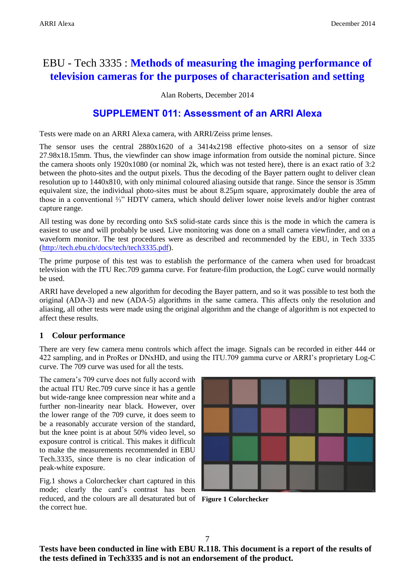# EBU - Tech 3335 : **Methods of measuring the imaging performance of television cameras for the purposes of characterisation and setting**

Alan Roberts, December 2014

# **SUPPLEMENT 011: Assessment of an ARRI Alexa**

Tests were made on an ARRI Alexa camera, with ARRI/Zeiss prime lenses.

The sensor uses the central  $2880x1620$  of a  $3414x2198$  effective photo-sites on a sensor of size 27.98x18.15mm. Thus, the viewfinder can show image information from outside the nominal picture. Since the camera shoots only 1920x1080 (or nominal 2k, which was not tested here), there is an exact ratio of 3:2 between the photo-sites and the output pixels. Thus the decoding of the Bayer pattern ought to deliver clean resolution up to 1440x810, with only minimal coloured aliasing outside that range. Since the sensor is 35mm equivalent size, the individual photo-sites must be about 8.25µm square, approximately double the area of those in a conventional ⅔" HDTV camera, which should deliver lower noise levels and/or higher contrast capture range.

All testing was done by recording onto SxS solid-state cards since this is the mode in which the camera is easiest to use and will probably be used. Live monitoring was done on a small camera viewfinder, and on a waveform monitor. The test procedures were as described and recommended by the EBU, in Tech 3335 [\(http://tech.ebu.ch/docs/tech/tech3335.pdf\)](http://tech.ebu.ch/docs/tech/tech3335.pdf).

The prime purpose of this test was to establish the performance of the camera when used for broadcast television with the ITU Rec.709 gamma curve. For feature-film production, the LogC curve would normally be used.

ARRI have developed a new algorithm for decoding the Bayer pattern, and so it was possible to test both the original (ADA-3) and new (ADA-5) algorithms in the same camera. This affects only the resolution and aliasing, all other tests were made using the original algorithm and the change of algorithm is not expected to affect these results.

## **1 Colour performance**

There are very few camera menu controls which affect the image. Signals can be recorded in either 444 or 422 sampling, and in ProRes or DNxHD, and using the ITU.709 gamma curve or ARRI's proprietary Log-C curve. The 709 curve was used for all the tests.

The camera's 709 curve does not fully accord with the actual ITU Rec.709 curve since it has a gentle but wide-range knee compression near white and a further non-linearity near black. However, over the lower range of the 709 curve, it does seem to be a reasonably accurate version of the standard, but the knee point is at about 50% video level, so exposure control is critical. This makes it difficult to make the measurements recommended in EBU Tech.3335, since there is no clear indication of peak-white exposure.

Fig.1 shows a Colorchecker chart captured in this mode; clearly the card's contrast has been reduced, and the colours are all desaturated but of **Figure 1 Colorchecker**the correct hue.

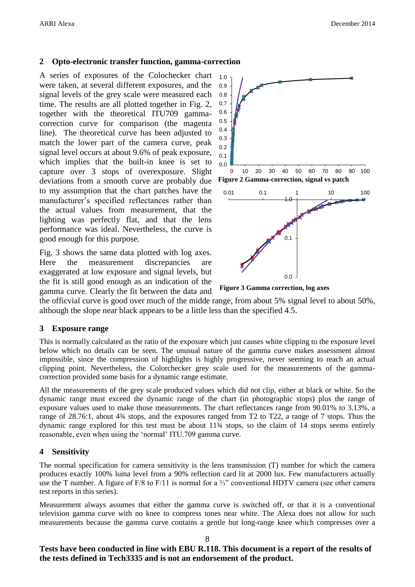### **2 Opto-electronic transfer function, gamma-correction**

A series of exposures of the Colochecker chart were taken, at several different exposures, and the signal levels of the grey scale were measured each time. The results are all plotted together in Fig. 2, together with the theoretical ITU709 gammacorrection curve for comparison (the magenta line). The theoretical curve has been adjusted to match the lower part of the camera curve, peak signal level occurs at about 9.6% of peak exposure, which implies that the built-in knee is set to capture over 3 stops of overexposure. Slight deviations from a smooth curve are probably due to my assumption that the chart patches have the manufacturer's specified reflectances rather than the actual values from measurement, that the lighting was perfectly flat, and that the lens performance was ideal. Nevertheless, the curve is good enough for this purpose.

Fig. 3 shows the same data plotted with log axes. Here the measurement discrepancies are exaggerated at low exposure and signal levels, but the fit is still good enough as an indication of the gamma curve. Clearly the fit between the data and



**Figure 3 Gamma correction, log axes**

the officvial curve is good over much of the midde range, from about 5% signal level to about 50%, although the slope near black appears to be a little less than the specified 4.5.

### **3 Exposure range**

This is normally calculated as the ratio of the exposure which just causes white clipping to the exposure level below which no details can be seen. The unusual nature of the gamma curve makes assessment almost impossible, since the compression of highlights is highly progressive, never seeming to reach an actual clipping point. Nevertheless, the Colorchecker grey scale used for the measurements of the gammacorrection provided some basis for a dynamic range estimate.

All the measurements of the grey scale produced values which did not clip, either at black or white. So the dynamic range must exceed the dynamic range of the chart (in photographic stops) plus the range of exposure values used to make those measurements. The chart reflectances range from 90.01% to 3.13%, a range of 28.76:1, about 4¾ stops, and the exposures ranged from T2 to T22, a range of 7 stops. Thus the dynamic range explored for this test must be about 11¾ stops, so the claim of 14 stops seems entirely reasonable, even when using the 'normal' ITU.709 gamma curve.

### **4 Sensitivity**

The normal specification for camera sensitivity is the lens transmission (T) number for which the camera produces exactly 100% luma level from a 90% reflection card lit at 2000 lux. Few manufacturers actually use the T number. A figure of F/8 to F/11 is normal for a ⅔" conventional HDTV camera (see other camera test reports in this series).

Measurement always assumes that either the gamma curve is switched off, or that it is a conventional television gamma curve with no knee to compress tones near white. The Alexa does not allow for such measurements because the gamma curve contains a gentle but long-range knee which compresses over a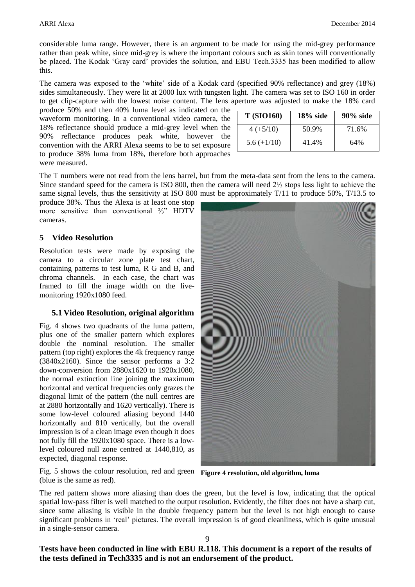considerable luma range. However, there is an argument to be made for using the mid-grey performance rather than peak white, since mid-grey is where the important colours such as skin tones will conventionally be placed. The Kodak 'Gray card' provides the solution, and EBU Tech.3335 has been modified to allow this.

The camera was exposed to the 'white' side of a Kodak card (specified 90% reflectance) and grey (18%) sides simultaneously. They were lit at 2000 lux with tungsten light. The camera was set to ISO 160 in order to get clip-capture with the lowest noise content. The lens aperture was adjusted to make the 18% card

produce 50% and then 40% luma level as indicated on the waveform monitoring. In a conventional video camera, the 18% reflectance should produce a mid-grey level when the 90% reflectance produces peak white, however the convention with the ARRI Alexa seems to be to set exposure to produce 38% luma from 18%, therefore both approaches were measured.

| <b>T</b> (SIO160) | $18\%$ side | $90\%$ side |
|-------------------|-------------|-------------|
| $4 (+5/10)$       | 50.9%       | 71.6%       |
| $5.6 (+1/10)$     | 41.4%       | 64%         |

The T numbers were not read from the lens barrel, but from the meta-data sent from the lens to the camera. Since standard speed for the camera is ISO 800, then the camera will need 2⅓ stops less light to achieve the same signal levels, thus the sensitivity at ISO 800 must be approximately T/11 to produce 50%, T/13.5 to

produce 38%. Thus the Alexa is at least one stop more sensitive than conventional ⅔" HDTV cameras.

### **5 Video Resolution**

Resolution tests were made by exposing the camera to a circular zone plate test chart, containing patterns to test luma, R G and B, and chroma channels. In each case, the chart was framed to fill the image width on the livemonitoring 1920x1080 feed.

### **5.1 Video Resolution, original algorithm**

Fig. 4 shows two quadrants of the luma pattern, plus one of the smaller pattern which explores double the nominal resolution. The smaller pattern (top right) explores the 4k frequency range (3840x2160). Since the sensor performs a 3:2 down-conversion from 2880x1620 to 1920x1080, the normal extinction line joining the maximum horizontal and vertical frequencies only grazes the diagonal limit of the pattern (the null centres are at 2880 horizontally and 1620 vertically). There is some low-level coloured aliasing beyond 1440 horizontally and 810 vertically, but the overall impression is of a clean image even though it does not fully fill the 1920x1080 space. There is a lowlevel coloured null zone centred at 1440,810, as expected, diagonal response.



Fig. 5 shows the colour resolution, red and green **Figure 4 resolution, old algorithm, luma**(blue is the same as red).

The red pattern shows more aliasing than does the green, but the level is low, indicating that the optical spatial low-pass filter is well matched to the output resolution. Evidently, the filter does not have a sharp cut, since some aliasing is visible in the double frequency pattern but the level is not high enough to cause significant problems in 'real' pictures. The overall impression is of good cleanliness, which is quite unusual in a single-sensor camera.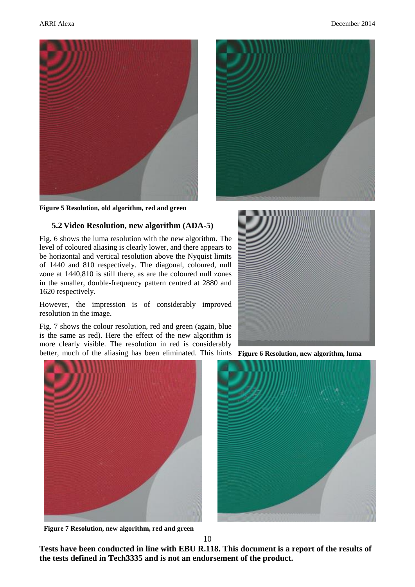



**Figure 5 Resolution, old algorithm, red and green**

### **5.2 Video Resolution, new algorithm (ADA-5)**

Fig. 6 shows the luma resolution with the new algorithm. The level of coloured aliasing is clearly lower, and there appears to be horizontal and vertical resolution above the Nyquist limits of 1440 and 810 respectively. The diagonal, coloured, null zone at 1440,810 is still there, as are the coloured null zones in the smaller, double-frequency pattern centred at 2880 and 1620 respectively.

However, the impression is of considerably improved resolution in the image.

Fig. 7 shows the colour resolution, red and green (again, blue is the same as red). Here the effect of the new algorithm is more clearly visible. The resolution in red is considerably better, much of the aliasing has been eliminated. This hints **Figure 6 Resolution, new algorithm, luma**



**Figure 7 Resolution, new algorithm, red and green**





10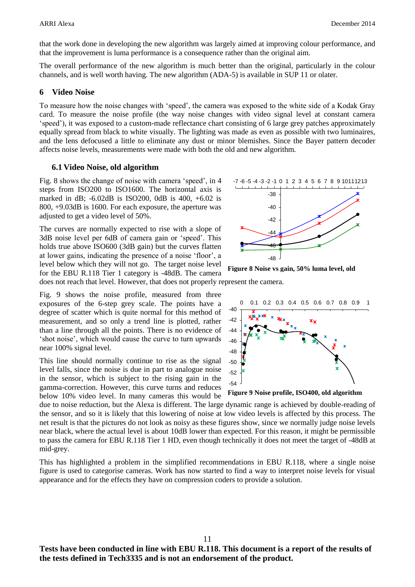that the work done in developing the new algorithm was largely aimed at improving colour performance, and that the improvement is luma performance is a consequence rather than the original aim.

The overall performance of the new algorithm is much better than the original, particularly in the colour channels, and is well worth having. The new algorithm (ADA-5) is available in SUP 11 or olater.

### **6 Video Noise**

To measure how the noise changes with 'speed', the camera was exposed to the white side of a Kodak Gray card. To measure the noise profile (the way noise changes with video signal level at constant camera 'speed'), it was exposed to a custom-made reflectance chart consisting of 6 large grey patches approximately equally spread from black to white visually. The lighting was made as even as possible with two luminaires, and the lens defocused a little to eliminate any dust or minor blemishes. Since the Bayer pattern decoder affects noise levels, measurements were made with both the old and new algorithm.

### **6.1 Video Noise, old algorithm**

Fig. 8 shows the change of noise with camera 'speed', in 4 steps from ISO200 to ISO1600. The horizontal axis is marked in dB; -6.02dB is ISO200, 0dB is 400, +6.02 is 800, +9.03dB is 1600. For each exposure, the aperture was adjusted to get a video level of 50%.

The curves are normally expected to rise with a slope of 3dB noise level per 6dB of camera gain or 'speed'. This holds true above ISO600 (3dB gain) but the curves flatten at lower gains, indicating the presence of a noise 'floor', a level below which they will not go. The target noise level for the EBU R.118 Tier 1 category is -48dB. The camera does not reach that level. However, that does not properly represent the camera.

Fig. 9 shows the noise profile, measured from three exposures of the 6-step grey scale. The points have a degree of scatter which is quite normal for this method of measurement, and so only a trend line is plotted, rather than a line through all the points. There is no evidence of 'shot noise', which would cause the curve to turn upwards near 100% signal level.

This line should normally continue to rise as the signal level falls, since the noise is due in part to analogue noise in the sensor, which is subject to the rising gain in the gamma-correction. However, this curve turns and reduces below 10% video level. In many cameras this would be



**Figure 8 Noise vs gain, 50% luma level, old** 



**Figure 9 Noise profile, ISO400, old algorithm**

due to noise reduction, but the Alexa is different. The large dynamic range is achieved by double-reading of the sensor, and so it is likely that this lowering of noise at low video levels is affected by this process. The net result is that the pictures do not look as noisy as these figures show, since we normally judge noise levels near black, where the actual level is about 10dB lower than expected. For this reason, it might be permissible to pass the camera for EBU R.118 Tier 1 HD, even though technically it does not meet the target of -48dB at mid-grey.

This has highlighted a problem in the simplified recommendations in EBU R.118, where a single noise figure is used to categorise cameras. Work has now started to find a way to interpret noise levels for visual appearance and for the effects they have on compression coders to provide a solution.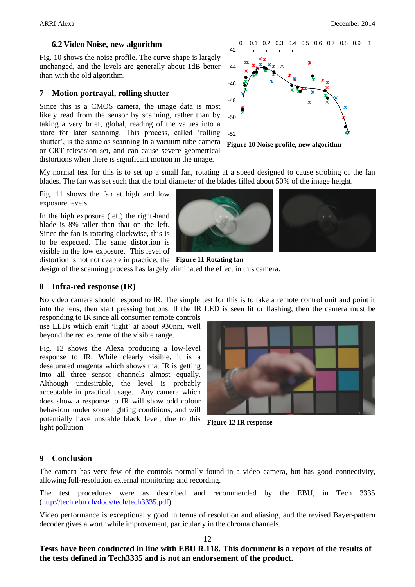### **6.2 Video Noise, new algorithm**

Fig. 10 shows the noise profile. The curve shape is largely unchanged, and the levels are generally about 1dB better than with the old algorithm.

### **7 Motion portrayal, rolling shutter**

Since this is a CMOS camera, the image data is most likely read from the sensor by scanning, rather than by taking a very brief, global, reading of the values into a store for later scanning. This process, called 'rolling shutter', is the same as scanning in a vacuum tube camera or CRT television set, and can cause severe geometrical distortions when there is significant motion in the image.



**Figure 10 Noise profile, new algorithm**

My normal test for this is to set up a small fan, rotating at a speed designed to cause strobing of the fan blades. The fan was set such that the total diameter of the blades filled about 50% of the image height.

Fig. 11 shows the fan at high and low exposure levels.

In the high exposure (left) the right-hand blade is 8% taller than that on the left. Since the fan is rotating clockwise, this is to be expected. The same distortion is visible in the low exposure. This level of



distortion is not noticeable in practice; the **Figure 11 Rotating fan** design of the scanning process has largely eliminated the effect in this camera.

### **8 Infra-red response (IR)**

No video camera should respond to IR. The simple test for this is to take a remote control unit and point it into the lens, then start pressing buttons. If the IR LED is seen lit or flashing, then the camera must be

responding to IR since all consumer remote controls use LEDs which emit 'light' at about 930nm, well beyond the red extreme of the visible range.

Fig. 12 shows the Alexa producing a low-level response to IR. While clearly visible, it is a desaturated magenta which shows that IR is getting into all three sensor channels almost equally. Although undesirable, the level is probably acceptable in practical usage. Any camera which does show a response to IR will show odd colour behaviour under some lighting conditions, and will potentially have unstable black level, due to this light pollution.



**Figure 12 IR response**

### **9 Conclusion**

The camera has very few of the controls normally found in a video camera, but has good connectivity, allowing full-resolution external monitoring and recording.

The test procedures were as described and recommended by the EBU, in Tech 3335 [\(http://tech.ebu.ch/docs/tech/tech3335.pdf\)](http://tech.ebu.ch/docs/tech/tech3335.pdf).

Video performance is exceptionally good in terms of resolution and aliasing, and the revised Bayer-pattern decoder gives a worthwhile improvement, particularly in the chroma channels.

12